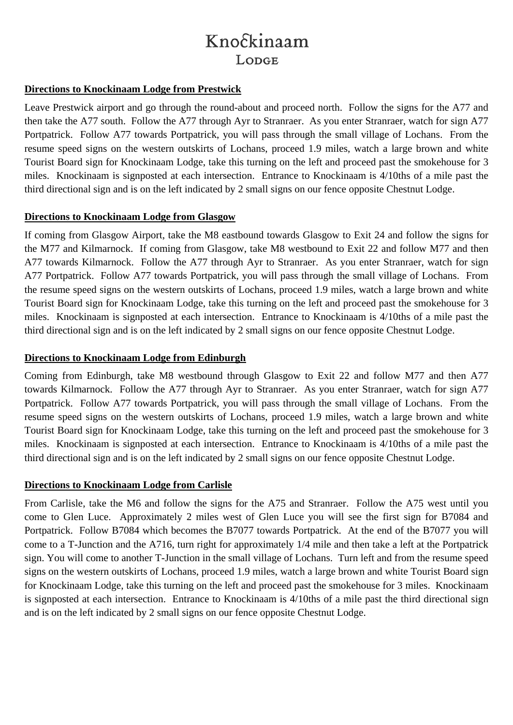# Knockinaam LODGE

### **Directions to Knockinaam Lodge from Prestwick**

Leave Prestwick airport and go through the round-about and proceed north. Follow the signs for the A77 and then take the A77 south. Follow the A77 through Ayr to Stranraer. As you enter Stranraer, watch for sign A77 Portpatrick. Follow A77 towards Portpatrick, you will pass through the small village of Lochans. From the resume speed signs on the western outskirts of Lochans, proceed 1.9 miles, watch a large brown and white Tourist Board sign for Knockinaam Lodge, take this turning on the left and proceed past the smokehouse for 3 miles. Knockinaam is signposted at each intersection. Entrance to Knockinaam is 4/10ths of a mile past the third directional sign and is on the left indicated by 2 small signs on our fence opposite Chestnut Lodge.

### **Directions to Knockinaam Lodge from Glasgow**

If coming from Glasgow Airport, take the M8 eastbound towards Glasgow to Exit 24 and follow the signs for the M77 and Kilmarnock. If coming from Glasgow, take M8 westbound to Exit 22 and follow M77 and then A77 towards Kilmarnock. Follow the A77 through Ayr to Stranraer. As you enter Stranraer, watch for sign A77 Portpatrick. Follow A77 towards Portpatrick, you will pass through the small village of Lochans. From the resume speed signs on the western outskirts of Lochans, proceed 1.9 miles, watch a large brown and white Tourist Board sign for Knockinaam Lodge, take this turning on the left and proceed past the smokehouse for 3 miles. Knockinaam is signposted at each intersection. Entrance to Knockinaam is 4/10ths of a mile past the third directional sign and is on the left indicated by 2 small signs on our fence opposite Chestnut Lodge.

### **Directions to Knockinaam Lodge from Edinburgh**

Coming from Edinburgh, take M8 westbound through Glasgow to Exit 22 and follow M77 and then A77 towards Kilmarnock. Follow the A77 through Ayr to Stranraer. As you enter Stranraer, watch for sign A77 Portpatrick. Follow A77 towards Portpatrick, you will pass through the small village of Lochans. From the resume speed signs on the western outskirts of Lochans, proceed 1.9 miles, watch a large brown and white Tourist Board sign for Knockinaam Lodge, take this turning on the left and proceed past the smokehouse for 3 miles. Knockinaam is signposted at each intersection. Entrance to Knockinaam is 4/10ths of a mile past the third directional sign and is on the left indicated by 2 small signs on our fence opposite Chestnut Lodge.

## **Directions to Knockinaam Lodge from Carlisle**

From Carlisle, take the M6 and follow the signs for the A75 and Stranraer. Follow the A75 west until you come to Glen Luce. Approximately 2 miles west of Glen Luce you will see the first sign for B7084 and Portpatrick. Follow B7084 which becomes the B7077 towards Portpatrick. At the end of the B7077 you will come to a T-Junction and the A716, turn right for approximately 1/4 mile and then take a left at the Portpatrick sign. You will come to another T-Junction in the small village of Lochans. Turn left and from the resume speed signs on the western outskirts of Lochans, proceed 1.9 miles, watch a large brown and white Tourist Board sign for Knockinaam Lodge, take this turning on the left and proceed past the smokehouse for 3 miles. Knockinaam is signposted at each intersection. Entrance to Knockinaam is 4/10ths of a mile past the third directional sign and is on the left indicated by 2 small signs on our fence opposite Chestnut Lodge.